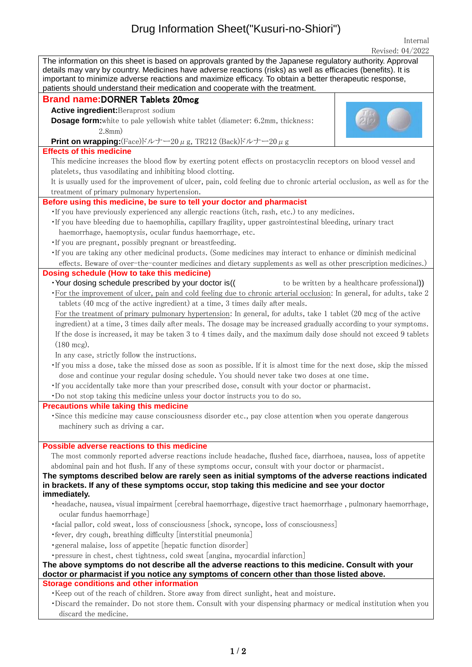## Drug Information Sheet("Kusuri-no-Shiori")

Internal  $R$ evised: 04/2022

| INCVISCU, UT/4044                                                                                                                                                                                                                                                                                                                                                                                                       |  |
|-------------------------------------------------------------------------------------------------------------------------------------------------------------------------------------------------------------------------------------------------------------------------------------------------------------------------------------------------------------------------------------------------------------------------|--|
| The information on this sheet is based on approvals granted by the Japanese regulatory authority. Approval<br>details may vary by country. Medicines have adverse reactions (risks) as well as efficacies (benefits). It is<br>important to minimize adverse reactions and maximize efficacy. To obtain a better therapeutic response,<br>patients should understand their medication and cooperate with the treatment. |  |
| <b>Brand name:DORNER Tablets 20mcg</b>                                                                                                                                                                                                                                                                                                                                                                                  |  |
| Active ingredient: Beraprost sodium                                                                                                                                                                                                                                                                                                                                                                                     |  |
| <b>Dosage form:</b> white to pale yellowish white tablet (diameter: 6.2mm, thickness:<br>$2.8$ mm $)$                                                                                                                                                                                                                                                                                                                   |  |
| Print on wrapping: (Face) $\forall \nu + -20 \mu$ g, TR212 (Back) $\forall \nu + -20 \mu$ g                                                                                                                                                                                                                                                                                                                             |  |
| <b>Effects of this medicine</b>                                                                                                                                                                                                                                                                                                                                                                                         |  |
| This medicine increases the blood flow by exerting potent effects on prostacyclin receptors on blood vessel and                                                                                                                                                                                                                                                                                                         |  |
|                                                                                                                                                                                                                                                                                                                                                                                                                         |  |
| platelets, thus vasodilating and inhibiting blood clotting.                                                                                                                                                                                                                                                                                                                                                             |  |
| It is usually used for the improvement of ulcer, pain, cold feeling due to chronic arterial occlusion, as well as for the                                                                                                                                                                                                                                                                                               |  |
| treatment of primary pulmonary hypertension.                                                                                                                                                                                                                                                                                                                                                                            |  |
| Before using this medicine, be sure to tell your doctor and pharmacist                                                                                                                                                                                                                                                                                                                                                  |  |
| . If you have previously experienced any allergic reactions (itch, rash, etc.) to any medicines.                                                                                                                                                                                                                                                                                                                        |  |
| · If you have bleeding due to haemophilia, capillary fragility, upper gastrointestinal bleeding, urinary tract                                                                                                                                                                                                                                                                                                          |  |
| haemorrhage, haemoptysis, ocular fundus haemorrhage, etc.                                                                                                                                                                                                                                                                                                                                                               |  |
| . If you are pregnant, possibly pregnant or breastfeeding.                                                                                                                                                                                                                                                                                                                                                              |  |
| · If you are taking any other medicinal products. (Some medicines may interact to enhance or diminish medicinal                                                                                                                                                                                                                                                                                                         |  |
| effects. Beware of over-the-counter medicines and dietary supplements as well as other prescription medicines.)                                                                                                                                                                                                                                                                                                         |  |
| Dosing schedule (How to take this medicine)                                                                                                                                                                                                                                                                                                                                                                             |  |
| · Your dosing schedule prescribed by your doctor is((<br>to be written by a healthcare professional)                                                                                                                                                                                                                                                                                                                    |  |
|                                                                                                                                                                                                                                                                                                                                                                                                                         |  |
| · For the improvement of ulcer, pain and cold feeling due to chronic arterial occlusion: In general, for adults, take 2                                                                                                                                                                                                                                                                                                 |  |
| tablets (40 mcg of the active ingredient) at a time, 3 times daily after meals.                                                                                                                                                                                                                                                                                                                                         |  |
| For the treatment of primary pulmonary hypertension: In general, for adults, take 1 tablet (20 mcg of the active                                                                                                                                                                                                                                                                                                        |  |
| ingredient) at a time, 3 times daily after meals. The dosage may be increased gradually according to your symptoms.                                                                                                                                                                                                                                                                                                     |  |
| If the dose is increased, it may be taken 3 to 4 times daily, and the maximum daily dose should not exceed 9 tablets                                                                                                                                                                                                                                                                                                    |  |
| $(180 \text{ mcg}).$                                                                                                                                                                                                                                                                                                                                                                                                    |  |
| In any case, strictly follow the instructions.                                                                                                                                                                                                                                                                                                                                                                          |  |
| . If you miss a dose, take the missed dose as soon as possible. If it is almost time for the next dose, skip the missed                                                                                                                                                                                                                                                                                                 |  |
| dose and continue your regular dosing schedule. You should never take two doses at one time.                                                                                                                                                                                                                                                                                                                            |  |
| . If you accidentally take more than your prescribed dose, consult with your doctor or pharmacist.                                                                                                                                                                                                                                                                                                                      |  |
| . Do not stop taking this medicine unless your doctor instructs you to do so.                                                                                                                                                                                                                                                                                                                                           |  |
| <b>Precautions while taking this medicine</b>                                                                                                                                                                                                                                                                                                                                                                           |  |
| Since this medicine may cause consciousness disorder etc., pay close attention when you operate dangerous                                                                                                                                                                                                                                                                                                               |  |
| machinery such as driving a car.                                                                                                                                                                                                                                                                                                                                                                                        |  |
|                                                                                                                                                                                                                                                                                                                                                                                                                         |  |
| Possible adverse reactions to this medicine                                                                                                                                                                                                                                                                                                                                                                             |  |
| The most commonly reported adverse reactions include headache, flushed face, diarrhoea, nausea, loss of appetite                                                                                                                                                                                                                                                                                                        |  |
| abdominal pain and hot flush. If any of these symptoms occur, consult with your doctor or pharmacist.                                                                                                                                                                                                                                                                                                                   |  |
| The symptoms described below are rarely seen as initial symptoms of the adverse reactions indicated                                                                                                                                                                                                                                                                                                                     |  |
| in brackets. If any of these symptoms occur, stop taking this medicine and see your doctor                                                                                                                                                                                                                                                                                                                              |  |
| immediately.                                                                                                                                                                                                                                                                                                                                                                                                            |  |
| ·headache, nausea, visual impairment [cerebral haemorrhage, digestive tract haemorrhage, pulmonary haemorrhage,                                                                                                                                                                                                                                                                                                         |  |
| ocular fundus haemorrhage]                                                                                                                                                                                                                                                                                                                                                                                              |  |
| ·facial pallor, cold sweat, loss of consciousness [shock, syncope, loss of consciousness]                                                                                                                                                                                                                                                                                                                               |  |
| • fever, dry cough, breathing difficulty [interstitial pneumonia]                                                                                                                                                                                                                                                                                                                                                       |  |
| · general malaise, loss of appetite [hepatic function disorder]                                                                                                                                                                                                                                                                                                                                                         |  |
| • pressure in chest, chest tightness, cold sweat [angina, myocardial infarction]                                                                                                                                                                                                                                                                                                                                        |  |
|                                                                                                                                                                                                                                                                                                                                                                                                                         |  |
| The above symptoms do not describe all the adverse reactions to this medicine. Consult with your<br>doctor or pharmacist if you notice any symptoms of concern other than those listed above.                                                                                                                                                                                                                           |  |
| <b>Storage conditions and other information</b>                                                                                                                                                                                                                                                                                                                                                                         |  |
| . Keep out of the reach of children. Store away from direct sunlight, heat and moisture.                                                                                                                                                                                                                                                                                                                                |  |
| ·Discard the remainder. Do not store them. Consult with your dispensing pharmacy or medical institution when you                                                                                                                                                                                                                                                                                                        |  |
| discard the medicine.                                                                                                                                                                                                                                                                                                                                                                                                   |  |
|                                                                                                                                                                                                                                                                                                                                                                                                                         |  |